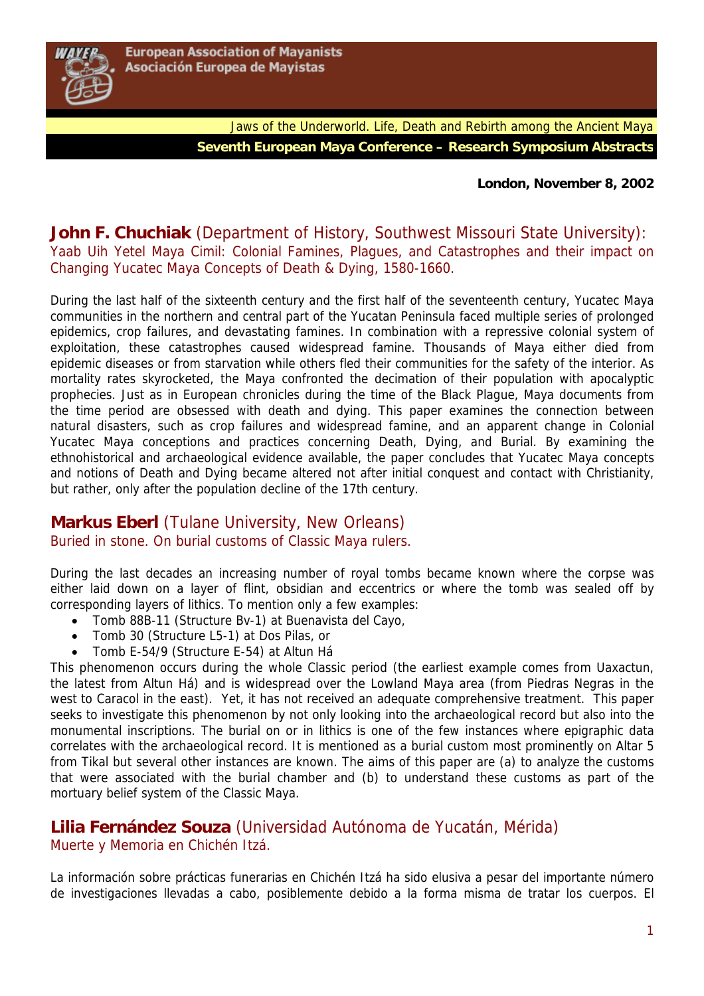

Jaws of the Underworld. Life, Death and Rebirth among the Ancient Maya **Seventh European Maya Conference – Research Symposium Abstracts** 

**London, November 8, 2002** 

### **John F. Chuchiak** (Department of History, Southwest Missouri State University): Yaab Uih Yetel Maya Cimil: Colonial Famines, Plagues, and Catastrophes and their impact on Changing Yucatec Maya Concepts of Death & Dying, 1580-1660.

During the last half of the sixteenth century and the first half of the seventeenth century, Yucatec Maya communities in the northern and central part of the Yucatan Peninsula faced multiple series of prolonged epidemics, crop failures, and devastating famines. In combination with a repressive colonial system of exploitation, these catastrophes caused widespread famine. Thousands of Maya either died from epidemic diseases or from starvation while others fled their communities for the safety of the interior. As mortality rates skyrocketed, the Maya confronted the decimation of their population with apocalyptic prophecies. Just as in European chronicles during the time of the Black Plague, Maya documents from the time period are obsessed with death and dying. This paper examines the connection between natural disasters, such as crop failures and widespread famine, and an apparent change in Colonial Yucatec Maya conceptions and practices concerning Death, Dying, and Burial. By examining the ethnohistorical and archaeological evidence available, the paper concludes that Yucatec Maya concepts and notions of Death and Dying became altered not after initial conquest and contact with Christianity, but rather, only after the population decline of the 17th century.

# **Markus Eberl** (Tulane University, New Orleans) Buried in stone. On burial customs of Classic Maya rulers.

During the last decades an increasing number of royal tombs became known where the corpse was either laid down on a layer of flint, obsidian and eccentrics or where the tomb was sealed off by corresponding layers of lithics. To mention only a few examples:

- Tomb 88B-11 (Structure Bv-1) at Buenavista del Cayo,
- Tomb 30 (Structure L5-1) at Dos Pilas, or
- Tomb E-54/9 (Structure E-54) at Altun Há

This phenomenon occurs during the whole Classic period (the earliest example comes from Uaxactun, the latest from Altun Há) and is widespread over the Lowland Maya area (from Piedras Negras in the west to Caracol in the east). Yet, it has not received an adequate comprehensive treatment. This paper seeks to investigate this phenomenon by not only looking into the archaeological record but also into the monumental inscriptions. The burial on or in lithics is one of the few instances where epigraphic data correlates with the archaeological record. It is mentioned as a burial custom most prominently on Altar 5 from Tikal but several other instances are known. The aims of this paper are (a) to analyze the customs that were associated with the burial chamber and (b) to understand these customs as part of the mortuary belief system of the Classic Maya.

### **Lilia Fernández Souza** (Universidad Autónoma de Yucatán, Mérida) Muerte y Memoria en Chichén Itzá.

La información sobre prácticas funerarias en Chichén Itzá ha sido elusiva a pesar del importante número de investigaciones llevadas a cabo, posiblemente debido a la forma misma de tratar los cuerpos. El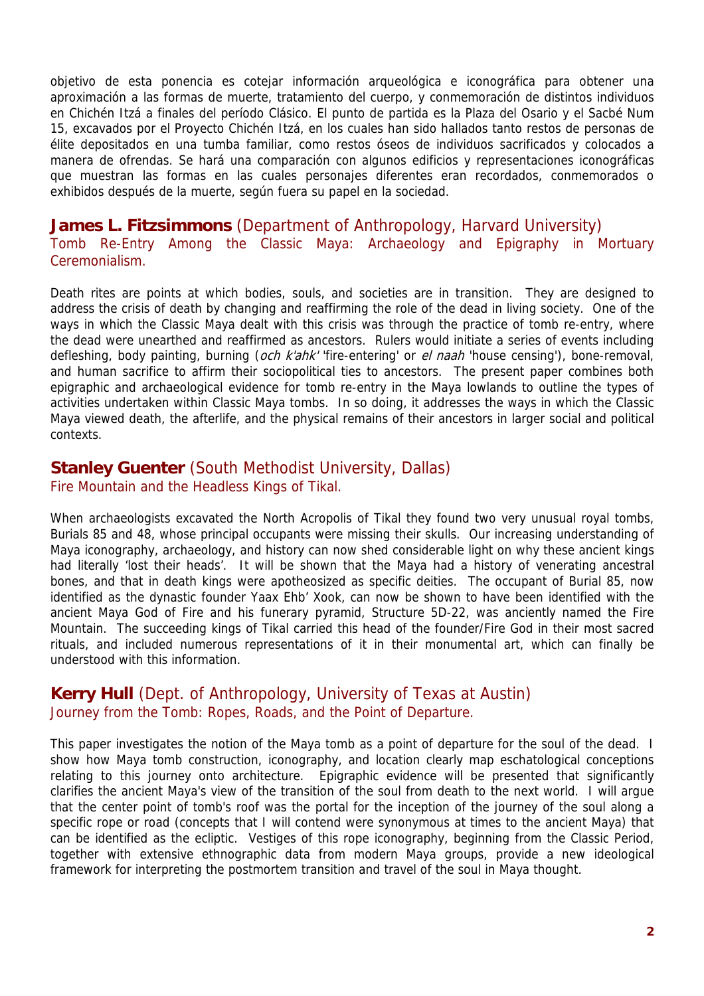objetivo de esta ponencia es cotejar información arqueológica e iconográfica para obtener una aproximación a las formas de muerte, tratamiento del cuerpo, y conmemoración de distintos individuos en Chichén Itzá a finales del período Clásico. El punto de partida es la Plaza del Osario y el Sacbé Num 15, excavados por el Proyecto Chichén Itzá, en los cuales han sido hallados tanto restos de personas de élite depositados en una tumba familiar, como restos óseos de individuos sacrificados y colocados a manera de ofrendas. Se hará una comparación con algunos edificios y representaciones iconográficas que muestran las formas en las cuales personajes diferentes eran recordados, conmemorados o exhibidos después de la muerte, según fuera su papel en la sociedad.

### **James L. Fitzsimmons** (Department of Anthropology, Harvard University) Tomb Re-Entry Among the Classic Maya: Archaeology and Epigraphy in Mortuary Ceremonialism.

Death rites are points at which bodies, souls, and societies are in transition. They are designed to address the crisis of death by changing and reaffirming the role of the dead in living society. One of the ways in which the Classic Maya dealt with this crisis was through the practice of tomb re-entry, where the dead were unearthed and reaffirmed as ancestors. Rulers would initiate a series of events including defleshing, body painting, burning (och k'ahk' 'fire-entering' or el naah 'house censing'), bone-removal, and human sacrifice to affirm their sociopolitical ties to ancestors. The present paper combines both epigraphic and archaeological evidence for tomb re-entry in the Maya lowlands to outline the types of activities undertaken within Classic Maya tombs. In so doing, it addresses the ways in which the Classic Maya viewed death, the afterlife, and the physical remains of their ancestors in larger social and political contexts.

### **Stanley Guenter** (South Methodist University, Dallas) Fire Mountain and the Headless Kings of Tikal.

When archaeologists excavated the North Acropolis of Tikal they found two very unusual royal tombs, Burials 85 and 48, whose principal occupants were missing their skulls. Our increasing understanding of Maya iconography, archaeology, and history can now shed considerable light on why these ancient kings had literally 'lost their heads'. It will be shown that the Maya had a history of venerating ancestral bones, and that in death kings were apotheosized as specific deities. The occupant of Burial 85, now identified as the dynastic founder Yaax Ehb' Xook, can now be shown to have been identified with the ancient Maya God of Fire and his funerary pyramid, Structure 5D-22, was anciently named the Fire Mountain. The succeeding kings of Tikal carried this head of the founder/Fire God in their most sacred rituals, and included numerous representations of it in their monumental art, which can finally be understood with this information.

### **Kerry Hull** (Dept. of Anthropology, University of Texas at Austin) Journey from the Tomb: Ropes, Roads, and the Point of Departure.

This paper investigates the notion of the Maya tomb as a point of departure for the soul of the dead. I show how Maya tomb construction, iconography, and location clearly map eschatological conceptions relating to this journey onto architecture. Epigraphic evidence will be presented that significantly clarifies the ancient Maya's view of the transition of the soul from death to the next world. I will argue that the center point of tomb's roof was the portal for the inception of the journey of the soul along a specific rope or road (concepts that I will contend were synonymous at times to the ancient Maya) that can be identified as the ecliptic. Vestiges of this rope iconography, beginning from the Classic Period, together with extensive ethnographic data from modern Maya groups, provide a new ideological framework for interpreting the postmortem transition and travel of the soul in Maya thought.